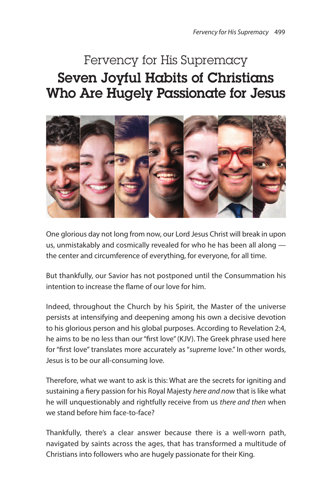# Fervency for His Supremacy **Seven Joyful Habits of Christians Who Are Hugely Passionate for Jesus**



One glorious day not long from now, our Lord Jesus Christ will break in upon us, unmistakably and cosmically revealed for who he has been all along the center and circumference of everything, for everyone, for all time.

But thankfully, our Savior has not postponed until the Consummation his intention to increase the flame of our love for him.

Indeed, throughout the Church by his Spirit, the Master of the universe persists at intensifying and deepening among his own a decisive devotion to his glorious person and his global purposes. According to Revelation 2:4, he aims to be no less than our"first love"(KJV). The Greek phrase used here for "first love" translates more accurately as "supreme love." In other words, Jesus is to be our all-consuming love.

Therefore, what we want to ask is this: What are the secrets for igniting and sustaining a fiery passion for his Royal Majesty here and now that is like what he will unquestionably and rightfully receive from us there and then when we stand before him face-to-face?

Thankfully, there's a clear answer because there is a well-worn path, navigated by saints across the ages, that has transformed a multitude of Christians into followers who are hugely passionate for their King.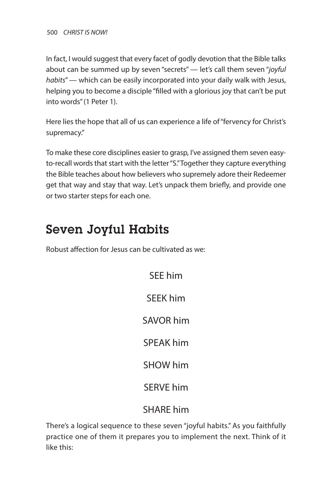In fact, I would suggest that every facet of godly devotion that the Bible talks about can be summed up by seven "secrets" — let's call them seven "joyful habits" — which can be easily incorporated into your daily walk with Jesus, helping you to become a disciple "filled with a glorious joy that can't be put into words"(1 Peter 1).

Here lies the hope that all of us can experience a life of"fervency for Christ's supremacy."

To make these core disciplines easier to grasp, I've assigned them seven easyto-recall words that start with the letter "S."Together they capture everything the Bible teaches about how believers who supremely adore their Redeemer get that way and stay that way. Let's unpack them briefly, and provide one or two starter steps for each one.

## **Seven Joyful Habits**

Robust affection for Jesus can be cultivated as we:

SEE him SEEK him SAVOR him SPEAK him SHOW him SERVE him SHARE him

There's a logical sequence to these seven "joyful habits." As you faithfully practice one of them it prepares you to implement the next. Think of it like this: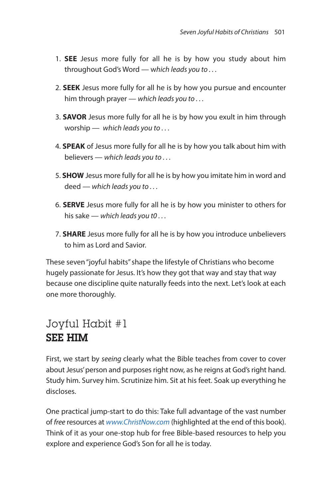- 1. **SEE** Jesus more fully for all he is by how you study about him throughout God's Word — which leads you to . . .
- 2. **SEEK** Jesus more fully for all he is by how you pursue and encounter him through prayer — which leads you to ...
- 3. **SAVOR** Jesus more fully for all he is by how you exult in him through worship — which leads you to ...
- 4. **SPEAK** of Jesus more fully for all he is by how you talk about him with believers — which leads you to . . .
- 5. **SHOW** Jesus more fully for all he is by how you imitate him in word and deed — which leads you to ...
- 6. **SERVE** Jesus more fully for all he is by how you minister to others for his sake — which leads you to  $\dots$
- 7. **SHARE** Jesus more fully for all he is by how you introduce unbelievers to him as Lord and Savior.

These seven "joyful habits" shape the lifestyle of Christians who become hugely passionate for Jesus. It's how they got that way and stay that way because one discipline quite naturally feeds into the next. Let's look at each one more thoroughly.

#### Joyful Habit #1 **SEE HIM**

First, we start by seeing clearly what the Bible teaches from cover to cover about Jesus' person and purposes right now, as he reigns at God's right hand. Study him. Survey him. Scrutinize him. Sit at his feet. Soak up everything he discloses.

One practical jump-start to do this: Take full advantage of the vast number of free resources at www.ChristNow.com (highlighted at the end of this book). Think of it as your one-stop hub for free Bible-based resources to help you explore and experience God's Son for all he is today.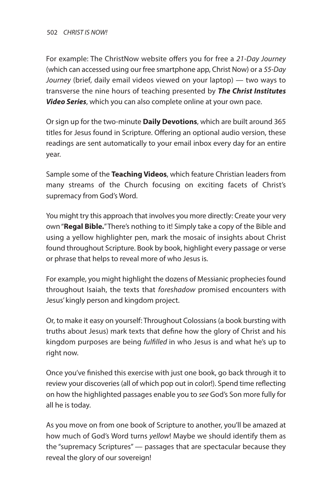For example: The ChristNow website offers you for free a 21-Day Journey (which can accessed using our free smartphone app, Christ Now) or a 55-Day Journey (brief, daily email videos viewed on your laptop) — two ways to transverse the nine hours of teaching presented by *The Christ Institutes Video Series*, which you can also complete online at your own pace.

Or sign up for the two-minute **Daily Devotions**, which are built around 365 titles for Jesus found in Scripture. Offering an optional audio version, these readings are sent automatically to your email inbox every day for an entire year.

Sample some of the **Teaching Videos**, which feature Christian leaders from many streams of the Church focusing on exciting facets of Christ's supremacy from God's Word.

You might try this approach that involves you more directly: Create your very own"**Regal Bible.**"There's nothing to it! Simply take a copy of the Bible and using a yellow highlighter pen, mark the mosaic of insights about Christ found throughout Scripture. Book by book, highlight every passage or verse or phrase that helps to reveal more of who Jesus is.

For example, you might highlight the dozens of Messianic prophecies found throughout Isaiah, the texts that foreshadow promised encounters with Jesus' kingly person and kingdom project.

Or, to make it easy on yourself: Throughout Colossians(a book bursting with truths about Jesus) mark texts that define how the glory of Christ and his kingdom purposes are being fulfilled in who Jesus is and what he's up to right now.

Once you've finished this exercise with just one book, go back through it to review your discoveries (all of which pop out in color!). Spend time reflecting on how the highlighted passages enable you to see God's Son more fully for all he is today.

As you move on from one book of Scripture to another, you'll be amazed at how much of God's Word turns yellow! Maybe we should identify them as the "supremacy Scriptures" — passages that are spectacular because they reveal the glory of our sovereign!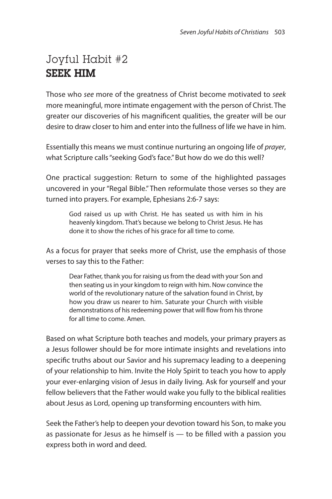### Joyful Habit #2 **SEEK HIM**

Those who see more of the greatness of Christ become motivated to seek more meaningful, more intimate engagement with the person of Christ. The greater our discoveries of his magnificent qualities, the greater will be our desire to draw closer to him and enter into the fullness of life we have in him.

Essentially this means we must continue nurturing an ongoing life of prayer, what Scripture calls "seeking God's face." But how do we do this well?

One practical suggestion: Return to some of the highlighted passages uncovered in your "Regal Bible." Then reformulate those verses so they are turned into prayers. For example, Ephesians 2:6-7 says:

God raised us up with Christ. He has seated us with him in his heavenly kingdom. That's because we belong to Christ Jesus. He has done it to show the riches of his grace for all time to come.

As a focus for prayer that seeks more of Christ, use the emphasis of those verses to say this to the Father:

Dear Father, thank you for raising us from the dead with your Son and then seating us in your kingdom to reign with him. Now convince the world of the revolutionary nature of the salvation found in Christ, by how you draw us nearer to him. Saturate your Church with visible demonstrations of his redeeming power that will flow from his throne for all time to come. Amen.

Based on what Scripture both teaches and models, your primary prayers as a Jesus follower should be for more intimate insights and revelations into specific truths about our Savior and his supremacy leading to a deepening of your relationship to him. Invite the Holy Spirit to teach you how to apply your ever-enlarging vision of Jesus in daily living. Ask for yourself and your fellow believers that the Father would wake you fully to the biblical realities about Jesus as Lord, opening up transforming encounters with him.

Seek the Father's help to deepen your devotion toward his Son, to make you as passionate for Jesus as he himself is — to be filled with a passion you express both in word and deed.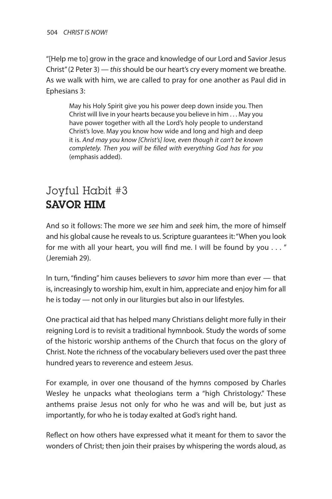"[Help me to] grow in the grace and knowledge of our Lord and Savior Jesus Christ" (2 Peter 3) — this should be our heart's cry every moment we breathe. As we walk with him, we are called to pray for one another as Paul did in Ephesians 3:

May his Holy Spirit give you his power deep down inside you. Then Christ will live in your hearts because you believe in him . . . May you have power together with all the Lord's holy people to understand Christ's love. May you know how wide and long and high and deep it is. And may you know [Christ's] love, even though it can't be known completely. Then you will be filled with everything God has for you (emphasis added).

### Joyful Habit #3 **SAVOR HIM**

And so it follows: The more we see him and seek him, the more of himself and his global cause he reveals to us. Scripture guarantees it: "When you look for me with all your heart, you will find me. I will be found by you . . . " (Jeremiah 29).

In turn, "finding" him causes believers to savor him more than ever — that is, increasingly to worship him, exult in him, appreciate and enjoy him for all he is today — not only in our liturgies but also in our lifestyles.

One practical aid that has helped many Christians delight more fully in their reigning Lord is to revisit a traditional hymnbook. Study the words of some of the historic worship anthems of the Church that focus on the glory of Christ. Note the richness of the vocabulary believers used over the past three hundred years to reverence and esteem Jesus.

For example, in over one thousand of the hymns composed by Charles Wesley he unpacks what theologians term a "high Christology." These anthems praise Jesus not only for who he was and will be, but just as importantly, for who he is today exalted at God's right hand.

Reflect on how others have expressed what it meant for them to savor the wonders of Christ; then join their praises by whispering the words aloud, as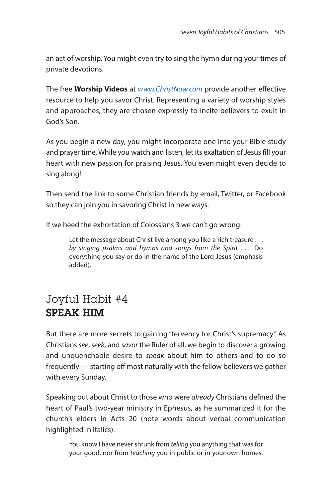an act of worship. You might even try to sing the hymn during your times of private devotions.

The free **Worship Videos** at www.ChristNow.com provide another effective resource to help you savor Christ. Representing a variety of worship styles and approaches, they are chosen expressly to incite believers to exult in God's Son.

As you begin a new day, you might incorporate one into your Bible study and prayer time. While you watch and listen, let its exaltation of Jesus fill your heart with new passion for praising Jesus. You even might even decide to sing along!

Then send the link to some Christian friends by email, Twitter, or Facebook so they can join you in savoring Christ in new ways.

If we heed the exhortation of Colossians 3 we can't go wrong:

Let the message about Christ live among you like a rich treasure . . . by singing psalms and hymns and songs from the Spirit . . . Do everything you say or do in the name of the Lord Jesus (emphasis added).

#### Joyful Habit #4 **SPEAK HIM**

But there are more secrets to gaining "fervency for Christ's supremacy." As Christians see, seek, and savor the Ruler of all, we begin to discover a growing and unquenchable desire to speak about him to others and to do so frequently — starting off most naturally with the fellow believers we gather with every Sunday.

Speaking out about Christ to those who were already Christians defined the heart of Paul's two-year ministry in Ephesus, as he summarized it for the church's elders in Acts 20 (note words about verbal communication highlighted in italics):

You know I have never shrunk from telling you anything that was for your good, nor from teaching you in public or in your own homes.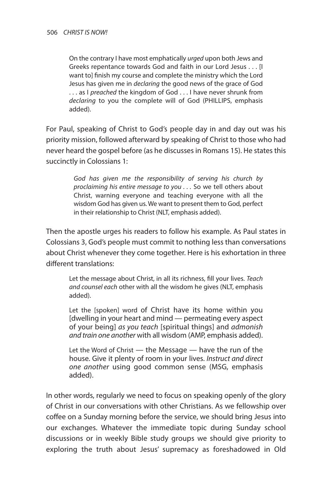On the contrary I have most emphatically urged upon both Jews and Greeks repentance towards God and faith in our Lord Jesus . . . [I want to] finish my course and complete the ministry which the Lord Jesus has given me in declaring the good news of the grace of God ... as I preached the kingdom of God ... I have never shrunk from declaring to you the complete will of God (PHILLIPS, emphasis added).

For Paul, speaking of Christ to God's people day in and day out was his priority mission, followed afterward by speaking of Christ to those who had never heard the gospel before (as he discusses in Romans 15). He states this succinctly in Colossians 1:

> God has given me the responsibility of serving his church by proclaiming his entire message to you . . . So we tell others about Christ, warning everyone and teaching everyone with all the wisdom God has given us. We want to present them to God, perfect in their relationship to Christ (NLT, emphasis added).

Then the apostle urges his readers to follow his example. As Paul states in Colossians 3, God's people must commit to nothing less than conversations about Christ whenever they come together. Here is his exhortation in three different translations:

Let the message about Christ, in all its richness, fill your lives. Teach and counsel each other with all the wisdom he gives (NLT, emphasis added).

Let the [spoken] word of Christ have its home within you [dwelling in your heart and mind — permeating every aspect of your being] as you teach [spiritual things] and admonish and train one another with all wisdom (AMP, emphasis added).

Let the Word of Christ — the Message — have the run of the house. Give it plenty of room in your lives. Instruct and direct one another using good common sense (MSG, emphasis added).

In other words, regularly we need to focus on speaking openly of the glory of Christ in our conversations with other Christians. As we fellowship over coffee on a Sunday morning before the service, we should bring Jesus into our exchanges. Whatever the immediate topic during Sunday school discussions or in weekly Bible study groups we should give priority to exploring the truth about Jesus' supremacy as foreshadowed in Old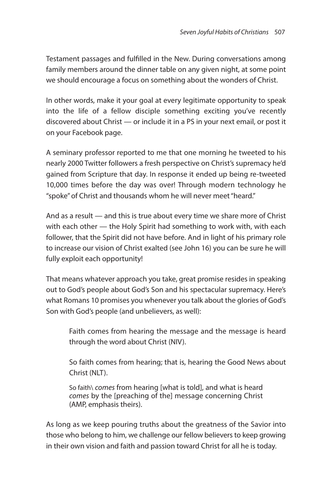Testament passages and fulfilled in the New. During conversations among family members around the dinner table on any given night, at some point we should encourage a focus on something about the wonders of Christ.

In other words, make it your goal at every legitimate opportunity to speak into the life of a fellow disciple something exciting you've recently discovered about Christ — or include it in a PS in your next email, or post it on your Facebook page.

A seminary professor reported to me that one morning he tweeted to his nearly 2000 Twitter followers a fresh perspective on Christ's supremacy he'd gained from Scripture that day. In response it ended up being re-tweeted 10,000 times before the day was over! Through modern technology he "spoke"of Christ and thousands whom he will never meet"heard."

And as a result — and this is true about every time we share more of Christ with each other — the Holy Spirit had something to work with, with each follower, that the Spirit did not have before. And in light of his primary role to increase our vision of Christ exalted (see John 16) you can be sure he will fully exploit each opportunity!

That means whatever approach you take, great promise resides in speaking out to God's people about God's Son and his spectacular supremacy. Here's what Romans 10 promises you whenever you talk about the glories of God's Son with God's people (and unbelievers, as well):

Faith comes from hearing the message and the message is heard through the word about Christ (NIV).

So faith comes from hearing; that is, hearing the Good News about Christ (NLT).

So faith\ comes from hearing [what is told], and what is heard comes by the [preaching of the] message concerning Christ (AMP, emphasis theirs).

As long as we keep pouring truths about the greatness of the Savior into those who belong to him, we challenge our fellow believers to keep growing in their own vision and faith and passion toward Christ for all he is today.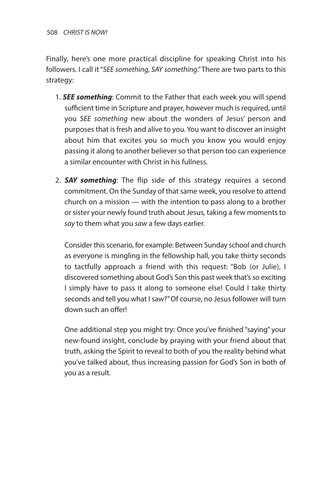Finally, here's one more practical discipline for speaking Christ into his followers. I call it"SEE something, SAY something."There are two parts to this strategy:

- 1. *SEE something*: Commit to the Father that each week you will spend sufficient time in Scripture and prayer, however much is required, until you SEE something new about the wonders of Jesus' person and purposes that is fresh and alive to you. You want to discover an insight about him that excites you so much you know you would enjoy passing it along to another believer so that person too can experience a similar encounter with Christ in his fullness.
- 2. *SAY something*: The flip side of this strategy requires a second commitment. On the Sunday of that same week, you resolve to attend church on a mission — with the intention to pass along to a brother or sister your newly found truth about Jesus, taking a few moments to say to them what you saw a few days earlier.

Consider this scenario, for example: Between Sunday school and church as everyone is mingling in the fellowship hall, you take thirty seconds to tactfully approach a friend with this request: "Bob (or Julie), I discovered something about God's Son this past week that's so exciting I simply have to pass it along to someone else! Could I take thirty seconds and tell you what I saw?"Of course, no Jesus follower will turn down such an offer!

One additional step you might try: Once you've finished "saying" your new-found insight, conclude by praying with your friend about that truth, asking the Spirit to reveal to both of you the reality behind what you've talked about, thus increasing passion for God's Son in both of you as a result.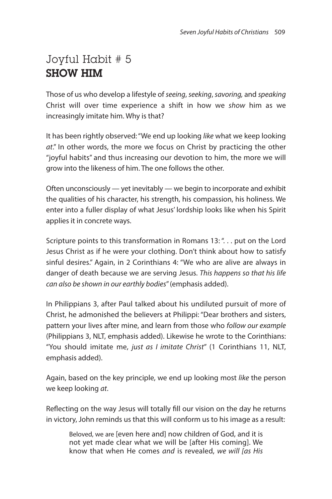### Joyful Habit # 5 **SHOW HIM**

Those of us who develop a lifestyle of seeing, seeking, savoring, and speaking Christ will over time experience a shift in how we show him as we increasingly imitate him. Why is that?

It has been rightly observed:"We end up looking like what we keep looking at." In other words, the more we focus on Christ by practicing the other "joyful habits" and thus increasing our devotion to him, the more we will grow into the likeness of him. The one follows the other.

Often unconsciously — yet inevitably — we begin to incorporate and exhibit the qualities of his character, his strength, his compassion, his holiness. We enter into a fuller display of what Jesus' lordship looks like when his Spirit applies it in concrete ways.

Scripture points to this transformation in Romans 13: "... put on the Lord Jesus Christ as if he were your clothing. Don't think about how to satisfy sinful desires." Again, in 2 Corinthians 4: "We who are alive are always in danger of death because we are serving Jesus. This happens so that his life can also be shown in our earthly bodies"(emphasis added).

In Philippians 3, after Paul talked about his undiluted pursuit of more of Christ, he admonished the believers at Philippi: "Dear brothers and sisters, pattern your lives after mine, and learn from those who follow our example (Philippians 3, NLT, emphasis added). Likewise he wrote to the Corinthians: "You should imitate me, just as I imitate Christ" (1 Corinthians 11, NLT, emphasis added).

Again, based on the key principle, we end up looking most like the person we keep looking at.

Reflecting on the way Jesus will totally fill our vision on the day he returns in victory, John reminds us that this will conform us to his image as a result:

Beloved, we are [even here and] now children of God, and it is not yet made clear what we will be [after His coming]. We know that when He comes and is revealed, we will [as His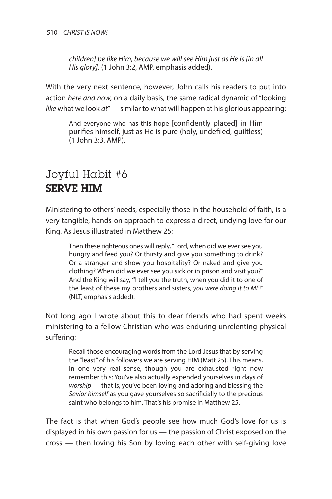children] be like Him, because we will see Him just as He is [in all His glory]. (1 John 3:2, AMP, emphasis added).

With the very next sentence, however, John calls his readers to put into action here and now, on a daily basis, the same radical dynamic of "looking like what we look  $at''$  = similar to what will happen at his glorious appearing:

And everyone who has this hope [confidently placed] in Him purifies himself, just as He is pure (holy, undefiled, guiltless) (1 John 3:3, AMP).

#### Joyful Habit #6 **SERVE HIM**

Ministering to others' needs, especially those in the household of faith, is a very tangible, hands-on approach to express a direct, undying love for our King. As Jesus illustrated in Matthew 25:

Then these righteous ones will reply, "Lord, when did we ever see you hungry and feed you? Or thirsty and give you something to drink? Or a stranger and show you hospitality? Or naked and give you clothing? When did we ever see you sick or in prison and visit you?" And the King will say, **"**I tell you the truth, when you did it to one of the least of these my brothers and sisters, you were doing it to ME!" (NLT, emphasis added).

Not long ago I wrote about this to dear friends who had spent weeks ministering to a fellow Christian who was enduring unrelenting physical suffering:

Recall those encouraging words from the Lord Jesus that by serving the "least"of his followers we are serving HIM (Matt 25). This means, in one very real sense, though you are exhausted right now remember this: You've also actually expended yourselves in days of worship — that is, you've been loving and adoring and blessing the Savior himself as you gave yourselves so sacrificially to the precious saint who belongs to him. That's his promise in Matthew 25.

The fact is that when God's people see how much God's love for us is displayed in his own passion for us — the passion of Christ exposed on the cross — then loving his Son by loving each other with self-giving love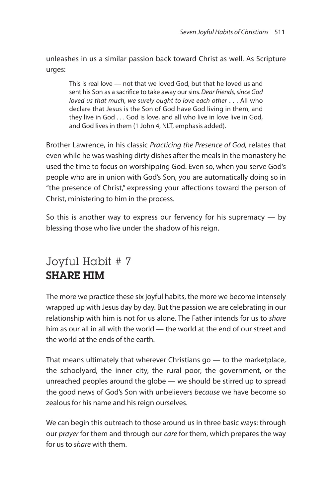unleashes in us a similar passion back toward Christ as well. As Scripture urges:

This is real love — not that we loved God, but that he loved us and sent his Son as a sacrifice to take away our sins. Dear friends, since God loved us that much, we surely ought to love each other . . . All who declare that Jesus is the Son of God have God living in them, and they live in God . . . God is love, and all who live in love live in God, and God lives in them (1 John 4, NLT, emphasis added).

Brother Lawrence, in his classic Practicing the Presence of God, relates that even while he was washing dirty dishes after the meals in the monastery he used the time to focus on worshipping God. Even so, when you serve God's people who are in union with God's Son, you are automatically doing so in "the presence of Christ," expressing your affections toward the person of Christ, ministering to him in the process.

So this is another way to express our fervency for his supremacy — by blessing those who live under the shadow of his reign.

#### Joyful Habit # 7 **SHARE HIM**

The more we practice these six joyful habits, the more we become intensely wrapped up with Jesus day by day. But the passion we are celebrating in our relationship with him is not for us alone. The Father intends for us to share him as our all in all with the world — the world at the end of our street and the world at the ends of the earth.

That means ultimately that wherever Christians go — to the marketplace, the schoolyard, the inner city, the rural poor, the government, or the unreached peoples around the globe — we should be stirred up to spread the good news of God's Son with unbelievers because we have become so zealous for his name and his reign ourselves.

We can begin this outreach to those around us in three basic ways: through our *prayer* for them and through our *care* for them, which prepares the way for us to share with them.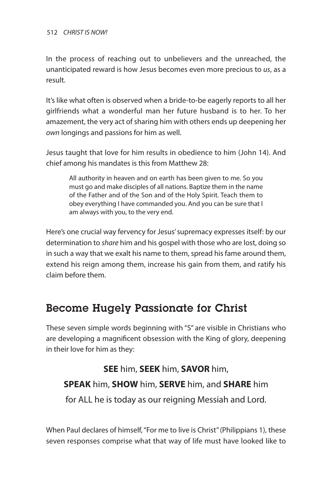#### 512 *CHRIST IS NOW!*

In the process of reaching out to unbelievers and the unreached, the unanticipated reward is how Jesus becomes even more precious to us, as a result.

It's like what often is observed when a bride-to-be eagerly reports to all her girlfriends what a wonderful man her future husband is to her. To her amazement, the very act of sharing him with others ends up deepening her own longings and passions for him as well.

Jesus taught that love for him results in obedience to him (John 14). And chief among his mandates is this from Matthew 28:

All authority in heaven and on earth has been given to me. So you must go and make disciples of all nations. Baptize them in the name of the Father and of the Son and of the Holy Spirit. Teach them to obey everything I have commanded you. And you can be sure that I am always with you, to the very end.

Here's one crucial way fervency for Jesus'supremacy expresses itself: by our determination to share him and his gospel with those who are lost, doing so in such a way that we exalt his name to them, spread his fame around them, extend his reign among them, increase his gain from them, and ratify his claim before them.

#### **Become Hugely Passionate for Christ**

These seven simple words beginning with "S" are visible in Christians who are developing a magnificent obsession with the King of glory, deepening in their love for him as they:

**SEE** him, **SEEK** him, **SAVOR** him, **SPEAK** him, **SHOW** him, **SERVE** him, and **SHARE** him for ALL he is today as our reigning Messiah and Lord.

When Paul declares of himself, "For me to live is Christ" (Philippians 1), these seven responses comprise what that way of life must have looked like to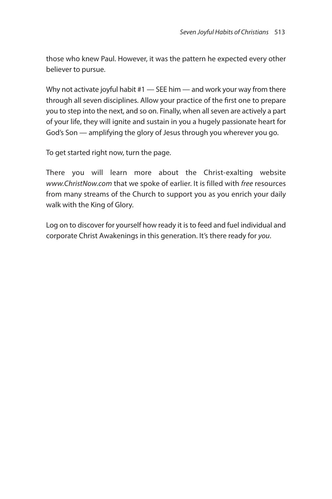those who knew Paul. However, it was the pattern he expected every other believer to pursue.

Why not activate joyful habit #1 — SEE him — and work your way from there through all seven disciplines. Allow your practice of the first one to prepare you to step into the next, and so on. Finally, when all seven are actively a part of your life, they will ignite and sustain in you a hugely passionate heart for God's Son — amplifying the glory of Jesus through you wherever you go.

To get started right now, turn the page.

There you will learn more about the Christ-exalting website www.ChristNow.com that we spoke of earlier. It is filled with free resources from many streams of the Church to support you as you enrich your daily walk with the King of Glory.

Log on to discover for yourself how ready it is to feed and fuel individual and corporate Christ Awakenings in this generation. It's there ready for you.